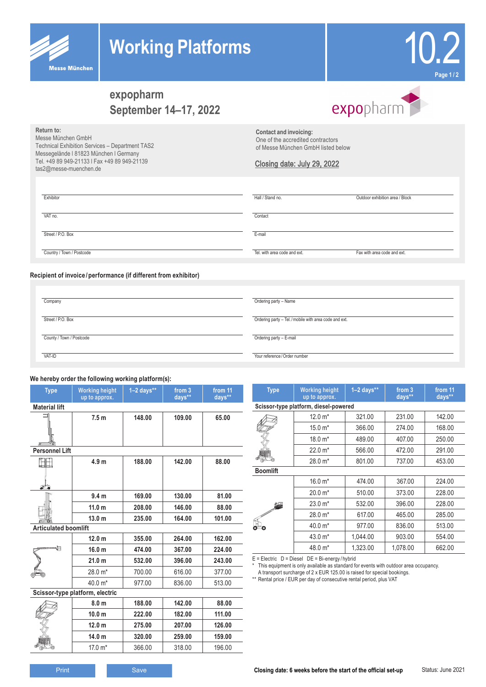



# **expopharm September 14–17, 2022**

# expopharm

**Return to:**

Messe München GmbH Technical Exhibition Services – Department TAS2 Messegelände l 81823 München l Germany Tel. +49 89 949-21133 l Fax +49 89 949-21139 tas2@messe-muenchen.de

**Contact and invoicing:** One of the accredited contractors of Messe München GmbH listed below

#### Closing date: July 29, 2022

| Exhibitor                 | Hall / Stand no.             | Outdoor exhibition area / Block |
|---------------------------|------------------------------|---------------------------------|
| VAT no.                   | Contact                      |                                 |
| Street / P.O. Box         | E-mail                       |                                 |
| Country / Town / Postcode | Tel. with area code and ext. | Fax with area code and ext.     |

#### **Recipient of invoice /performance (if different from exhibitor)**

| Company                  | Ordering party - Name                                  |
|--------------------------|--------------------------------------------------------|
| Street / P.O. Box        | Ordering party - Tel. / mobile with area code and ext. |
| County / Town / Postcode | Ordering party - E-mail                                |
| VAT-ID                   | Your reference / Order number                          |

### **We hereby order the following working platform(s):**

| <b>Type</b>                     | <b>Working height</b><br>up to approx. | $1-2$ days** | from 3<br>days** | from 11<br>days** |
|---------------------------------|----------------------------------------|--------------|------------------|-------------------|
| <b>Material lift</b>            |                                        |              |                  |                   |
|                                 | 7.5 <sub>m</sub>                       | 148.00       | 109.00           | 65.00             |
| <b>Personnel Lift</b>           |                                        |              |                  |                   |
| 昍<br>ு                          | 4.9 <sub>m</sub>                       | 188.00       | 142.00           | 88.00             |
|                                 | 9.4 <sub>m</sub>                       | 169.00       | 130.00           | 81.00             |
|                                 | 11.0 <sub>m</sub>                      | 208.00       | 146.00           | 88.00             |
|                                 | 13.0 <sub>m</sub>                      | 235.00       | 164.00           | 101.00            |
| <b>Articulated boomlift</b>     |                                        |              |                  |                   |
|                                 | 12.0 <sub>m</sub>                      | 355.00       | 264.00           | 162.00            |
| ιĦ                              | 16.0 <sub>m</sub>                      | 474.00       | 367.00           | 224.00            |
|                                 | 21.0 <sub>m</sub>                      | 532.00       | 396.00           | 243.00            |
|                                 | 28.0 m*                                | 700.00       | 616.00           | 377.00            |
|                                 | 40.0 m*                                | 977.00       | 836.00           | 513.00            |
| Scissor-type platform, electric |                                        |              |                  |                   |
|                                 | 8.0 <sub>m</sub>                       | 188.00       | 142.00           | 88.00             |
|                                 | 10.0 <sub>m</sub>                      | 222.00       | 182.00           | 111.00            |
|                                 | 12.0 <sub>m</sub>                      | 275.00       | 207.00           | 126.00            |
|                                 | 14.0 <sub>m</sub>                      | 320.00       | 259.00           | 159.00            |
|                                 | 17.0 m*                                | 366.00       | 318.00           | 196.00            |

| <b>Type</b><br><b>Working height</b><br>up to approx. |                                       | $1-2$ days** | from 3<br>days** | from 11<br>days** |  |
|-------------------------------------------------------|---------------------------------------|--------------|------------------|-------------------|--|
|                                                       | Scissor-type platform, diesel-powered |              |                  |                   |  |
|                                                       | $12.0 m*$                             | 321.00       | 231.00           | 142.00            |  |
|                                                       | $15.0 m*$                             | 366.00       | 274.00           | 168.00            |  |
|                                                       | 18.0 m*                               | 489.00       | 407.00           | 250.00            |  |
|                                                       | $22.0 m*$                             | 566.00       | 472.00           | 291.00            |  |
|                                                       | 28.0 m*                               | 801.00       | 737.00           | 453.00            |  |
| <b>Boomlift</b>                                       |                                       |              |                  |                   |  |
|                                                       | $16.0 m*$                             | 474.00       | 367.00           | 224.00            |  |
|                                                       | $20.0 m*$                             | 510.00       | 373.00           | 228.00            |  |
|                                                       | $23.0 m*$                             | 532.00       | 396.00           | 228.00            |  |
|                                                       | 28.0 m*                               | 617.00       | 465.00           | 285.00            |  |
| Θ                                                     | 40.0 m*                               | 977.00       | 836.00           | 513.00            |  |
|                                                       | 43.0 m*                               | 1.044.00     | 903.00           | 554.00            |  |
|                                                       | 48.0 m*                               | 1,323.00     | 1,078.00         | 662.00            |  |
| $-1$ $-1$ $-1$<br>$\sim$ $\cdot$                      |                                       |              |                  |                   |  |

E = Electric D = Diesel DE = Bi-energy / hybrid

\* This equipment is only available as standard for events with outdoor area occupancy.

A transport surcharge of 2 x EUR 125.00 is raised for special bookings.

\*\* Rental price / EUR per day of consecutive rental period, plus VAT